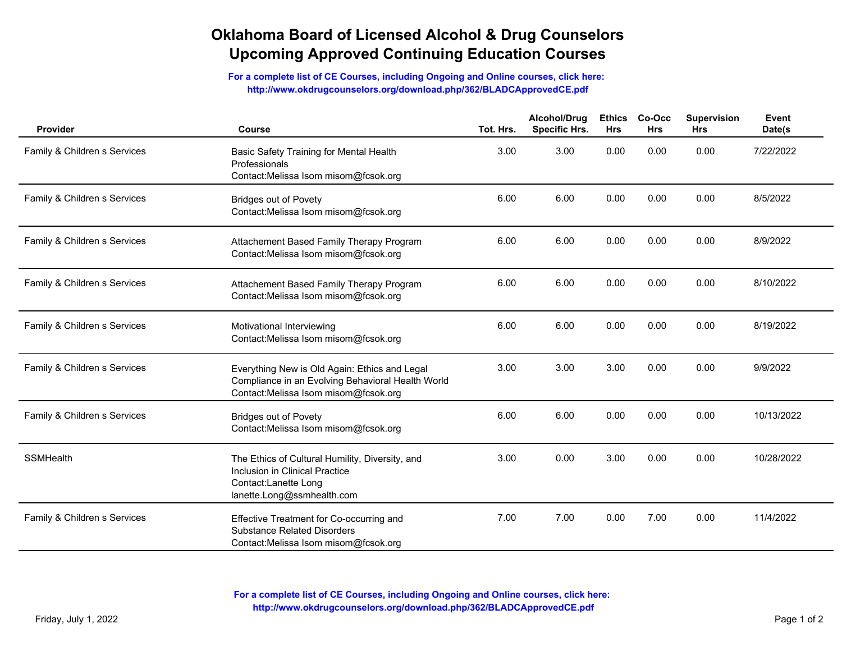## **Oklahoma Board of Licensed Alcohol & Drug Counselors Upcoming Approved Continuing Education Courses**

**For a complete list of CE Courses, including Ongoing and Online courses, click here: http://www.okdrugcounselors.org/download.php/362/BLADCApprovedCE.pdf**

| Provider                     | Course                                                                                                                                     | Tot. Hrs. | Alcohol/Drug<br><b>Specific Hrs.</b> | Ethics Co<br><b>Hrs</b> |  |
|------------------------------|--------------------------------------------------------------------------------------------------------------------------------------------|-----------|--------------------------------------|-------------------------|--|
| Family & Children s Services | Basic Safety Training for Mental Health<br>Professionals<br>Contact:Melissa Isom misom@fcsok.org                                           | 3.00      | 3.00                                 | 0.00                    |  |
| Family & Children s Services | <b>Bridges out of Povety</b><br>Contact:Melissa Isom misom@fcsok.org                                                                       | 6.00      | 6.00                                 | 0.00                    |  |
| Family & Children s Services | Attachement Based Family Therapy Program<br>Contact:Melissa Isom misom@fcsok.org                                                           | 6.00      | 6.00                                 | 0.00                    |  |
| Family & Children s Services | Attachement Based Family Therapy Program<br>Contact:Melissa Isom misom@fcsok.org                                                           | 6.00      | 6.00                                 | 0.00                    |  |
| Family & Children s Services | Motivational Interviewing<br>Contact:Melissa Isom misom@fcsok.org                                                                          | 6.00      | 6.00                                 | 0.00                    |  |
| Family & Children s Services | Everything New is Old Again: Ethics and Legal<br>Compliance in an Evolving Behavioral Health World<br>Contact:Melissa Isom misom@fcsok.org | 3.00      | 3.00                                 | 3.00                    |  |
| Family & Children s Services | <b>Bridges out of Povety</b><br>Contact:Melissa Isom misom@fcsok.org                                                                       | 6.00      | 6.00                                 | 0.00                    |  |
| SSMHealth                    | The Ethics of Cultural Humility, Diversity, and<br>Inclusion in Clinical Practice<br>Contact:Lanette Long<br>lanette.Long@ssmhealth.com    | 3.00      | 0.00                                 | 3.00                    |  |
| Family & Children s Services | Effective Treatment for Co-occurring and<br><b>Substance Related Disorders</b><br>Contact:Melissa Isom misom@fcsok.org                     | 7.00      | 7.00                                 | 0.00                    |  |

**For a complete list of CE Courses, including Ongoing and Online courses, click here: http://www.okdrugcounselors.org/download.php/362/BLADCApprovedCE.pdf**